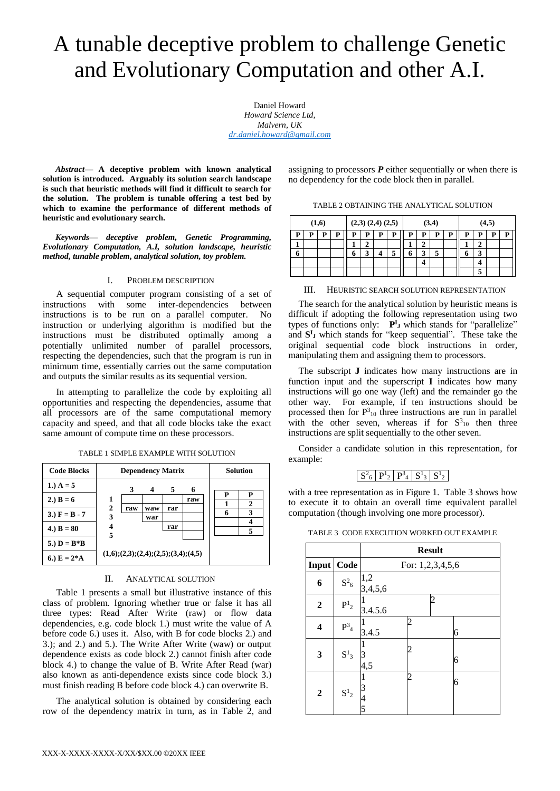# A tunable deceptive problem to challenge Genetic and Evolutionary Computation and other A.I.

Daniel Howard *Howard Science Ltd, Malvern, UK [dr.daniel.howard@gmail.com](mailto:dr.daniel.howard@gmail.com)*

*Abstract***— A deceptive problem with known analytical solution is introduced. Arguably its solution search landscape is such that heuristic methods will find it difficult to search for the solution. The problem is tunable offering a test bed by which to examine the performance of different methods of heuristic and evolutionary search.**

*Keywords— deceptive problem, Genetic Programming, Evolutionary Computation, A.I, solution landscape, heuristic method, tunable problem, analytical solution, toy problem.*

### I. PROBLEM DESCRIPTION

A sequential computer program consisting of a set of instructions with some inter-dependencies between instructions is to be run on a parallel computer. No instruction or underlying algorithm is modified but the instructions must be distributed optimally among a potentially unlimited number of parallel processors, respecting the dependencies, such that the program is run in minimum time, essentially carries out the same computation and outputs the similar results as its sequential version.

In attempting to parallelize the code by exploiting all opportunities and respecting the dependencies, assume that all processors are of the same computational memory capacity and speed, and that all code blocks take the exact same amount of compute time on these processors.

| <b>Code Blocks</b> |                   | <b>Dependency Matrix</b>                   | Solution   |     |     |             |
|--------------------|-------------------|--------------------------------------------|------------|-----|-----|-------------|
| 1.) $A = 5$        |                   | 3                                          |            | 5   | 6   |             |
| 2.) $B = 6$        | 1                 |                                            |            |     | raw | р<br>р<br>2 |
| 3.) $F = B - 7$    | $\mathbf{2}$<br>3 | raw                                        | waw<br>war | rar |     | 3           |
| 4.) $B = 80$       | 4<br>5            |                                            |            | rar |     |             |
| 5.) $D = B * B$    |                   |                                            |            |     |     |             |
| 6.) $E = 2*A$      |                   | $(1,6); (2,3); (2,4); (2,5); (3,4); (4,5)$ |            |     |     |             |

TABLE 1 SIMPLE EXAMPLE WITH SOLUTION

## II. ANALYTICAL SOLUTION

Table 1 presents a small but illustrative instance of this class of problem. Ignoring whether true or false it has all three types: Read After Write (raw) or flow data dependencies, e.g. code block 1.) must write the value of A before code 6.) uses it. Also, with B for code blocks 2.) and 3.); and 2.) and 5.). The Write After Write (waw) or output dependence exists as code block 2.) cannot finish after code block 4.) to change the value of B. Write After Read (war) also known as anti-dependence exists since code block 3.) must finish reading B before code block 4.) can overwrite B.

The analytical solution is obtained by considering each row of the dependency matrix in turn, as in Table 2, and assigning to processors  $P$  either sequentially or when there is no dependency for the code block then in parallel.

| (1,6) |   |   | $(2,3)$ $(2,4)$ $(2,5)$ |   |        | (3,4) |   |   | (4,5)       |   |   |   |   |   |   |
|-------|---|---|-------------------------|---|--------|-------|---|---|-------------|---|---|---|---|---|---|
| P     | P | P | р                       | P | p      | P     | P | P | P           | P | Р | Р | D | D | P |
|       |   |   |                         |   |        |       |   |   | $\mathbf 2$ |   |   |   | σ |   |   |
| 6     |   |   |                         | n | α<br>J |       | 5 | o | 3           | 5 |   | 6 | 3 |   |   |
|       |   |   |                         |   |        |       |   |   |             |   |   |   |   |   |   |
|       |   |   |                         |   |        |       |   |   |             |   |   |   | 5 |   |   |

## III. HEURISTIC SEARCH SOLUTION REPRESENTATION

The search for the analytical solution by heuristic means is difficult if adopting the following representation using two types of functions only:  $P^{I}$ <sub>J</sub> which stands for "parallelize" and  $S^I$ <sub>J</sub> which stands for "keep sequential". These take the original sequential code block instructions in order, manipulating them and assigning them to processors.

The subscript **J** indicates how many instructions are in function input and the superscript **I** indicates how many instructions will go one way (left) and the remainder go the other way. For example, if ten instructions should be processed then for  $P_{10}^3$  three instructions are run in parallel with the other seven, whereas if for  $S_{10}^3$  then three instructions are split sequentially to the other seven.

Consider a candidate solution in this representation, for example:

## $\left\lceil \text{S}^2_6 \right\rceil \text{P}^1_2 \left\lceil \text{P}^3_4 \right\rceil \text{S}^1_3 \left\lceil \text{S}^1_2 \right\rceil$

with a tree representation as in Figure 1. Table 3 shows how to execute it to obtain an overall time equivalent parallel computation (though involving one more processor).

TABLE 3 CODE EXECUTION WORKED OUT EXAMPLE

|                  |                             |                  |                  | <b>Result</b> |   |  |  |  |  |  |
|------------------|-----------------------------|------------------|------------------|---------------|---|--|--|--|--|--|
| Input            | Code                        |                  | For: 1,2,3,4,5,6 |               |   |  |  |  |  |  |
| 6                | $S^2$ 6                     | $1,2$<br>3,4,5,6 |                  |               |   |  |  |  |  |  |
| $\boldsymbol{2}$ | $\mathbf{P}^1$ <sub>2</sub> | 3.4.5.6          |                  |               |   |  |  |  |  |  |
| 4                | $P_4^3$                     | 3.4.5            | 2                |               | 6 |  |  |  |  |  |
| 3                | $S^1_3$                     | 4,5              |                  |               | 6 |  |  |  |  |  |
| 2                | $\mathbf{S}^1{}_2$          |                  | 2                |               | 6 |  |  |  |  |  |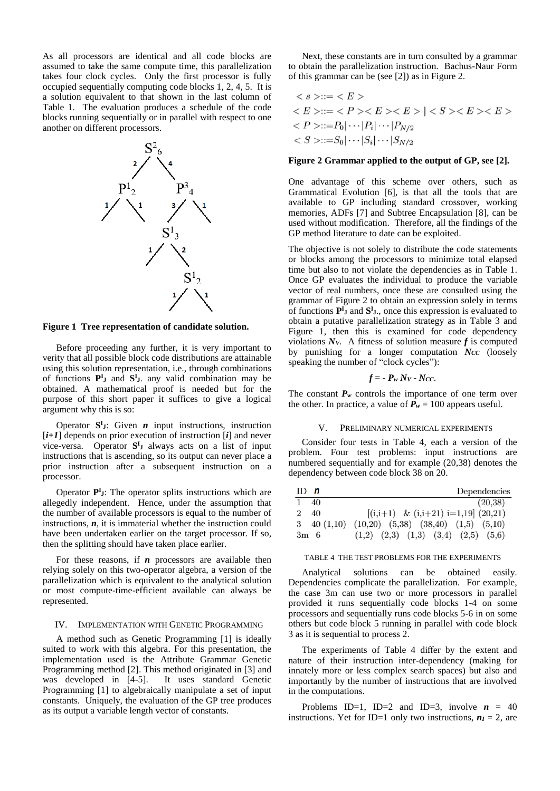As all processors are identical and all code blocks are assumed to take the same compute time, this parallelization takes four clock cycles. Only the first processor is fully occupied sequentially computing code blocks 1, 2, 4, 5. It is a solution equivalent to that shown in the last column of Table 1. The evaluation produces a schedule of the code blocks running sequentially or in parallel with respect to one another on different processors.



**Figure 1 Tree representation of candidate solution.**

Before proceeding any further, it is very important to verity that all possible block code distributions are attainable using this solution representation, i.e., through combinations of functions  $P^{I}$ **J** and  $S^{I}$ **J**. any valid combination may be obtained. A mathematical proof is needed but for the purpose of this short paper it suffices to give a logical argument why this is so:

Operator  $S^I$ <sub>J</sub>: Given *n* input instructions, instruction [*i+1*] depends on prior execution of instruction [*i*] and never vice-versa. Operator  $S^I$ **J** always acts on a list of input instructions that is ascending, so its output can never place a prior instruction after a subsequent instruction on a processor.

Operator **P**<sup>I</sup><sub>J</sub>: The operator splits instructions which are allegedly independent. Hence, under the assumption that the number of available processors is equal to the number of instructions, *n*, it is immaterial whether the instruction could have been undertaken earlier on the target processor. If so, then the splitting should have taken place earlier.

For these reasons, if *n* processors are available then relying solely on this two-operator algebra, a version of the parallelization which is equivalent to the analytical solution or most compute-time-efficient available can always be represented.

## IV. IMPLEMENTATION WITH GENETIC PROGRAMMING

A method such as Genetic Programming [1] is ideally suited to work with this algebra. For this presentation, the implementation used is the Attribute Grammar Genetic Programming method [2]. This method originated in [3] and was developed in [4-5]. It uses standard Genetic Programming [1] to algebraically manipulate a set of input constants. Uniquely, the evaluation of the GP tree produces as its output a variable length vector of constants.

Next, these constants are in turn consulted by a grammar to obtain the parallelization instruction. Bachus-Naur Form of this grammar can be (see [2]) as in Figure 2.

$$
\langle s \rangle ::= \langle E \rangle
$$
  
\n
$$
\langle E \rangle ::= \langle P \rangle \langle E \rangle \langle E \rangle | \langle S \rangle \langle E \rangle \langle E \rangle
$$
  
\n
$$
\langle P \rangle ::= P_0 | \cdots | P_i | \cdots | P_{N/2}
$$
  
\n
$$
\langle S \rangle ::= S_0 | \cdots | S_i | \cdots | S_{N/2}
$$

## **Figure 2 Grammar applied to the output of GP, see [2].**

One advantage of this scheme over others, such as Grammatical Evolution [6], is that all the tools that are available to GP including standard crossover, working memories, ADFs [7] and Subtree Encapsulation [8], can be used without modification. Therefore, all the findings of the GP method literature to date can be exploited.

The objective is not solely to distribute the code statements or blocks among the processors to minimize total elapsed time but also to not violate the dependencies as in Table 1. Once GP evaluates the individual to produce the variable vector of real numbers, once these are consulted using the grammar of Figure 2 to obtain an expression solely in terms of functions  $P^I$ **J** and  $S^I$ **J**., once this expression is evaluated to obtain a putative parallelization strategy as in Table 3 and Figure 1, then this is examined for code dependency violations  $N_V$ . A fitness of solution measure  $f$  is computed by punishing for a longer computation *NCC* (loosely speaking the number of "clock cycles"):

$$
f = -P_w Nv - Ncc.
$$

The constant  $P_w$  controls the importance of one term over the other. In practice, a value of  $P_w = 100$  appears useful.

## V. PRELIMINARY NUMERICAL EXPERIMENTS

Consider four tests in Table 4, each a version of the problem. Four test problems: input instructions are numbered sequentially and for example (20,38) denotes the dependency between code block 38 on 20.

| $ID$ n         |                     | Dependencies                                    |
|----------------|---------------------|-------------------------------------------------|
|                | - 40                | (20,38)                                         |
| $\mathfrak{D}$ | -40                 | $[(i,i+1) \& (i,i+21) i=1,19] (20,21)$          |
|                | $3\quad 40\ (1,10)$ | $(10,20)$ $(5,38)$ $(38,40)$ $(1,5)$ $(5,10)$   |
| $3m \quad 6$   |                     | $(1,2)$ $(2,3)$ $(1,3)$ $(3,4)$ $(2,5)$ $(5,6)$ |

#### TABLE 4 THE TEST PROBLEMS FOR THE EXPERIMENTS

Analytical solutions can be obtained easily. Dependencies complicate the parallelization. For example, the case 3m can use two or more processors in parallel provided it runs sequentially code blocks 1-4 on some processors and sequentially runs code blocks 5-6 in on some others but code block 5 running in parallel with code block 3 as it is sequential to process 2.

The experiments of Table 4 differ by the extent and nature of their instruction inter-dependency (making for innately more or less complex search spaces) but also and importantly by the number of instructions that are involved in the computations.

Problems ID=1, ID=2 and ID=3, involve  $n = 40$ instructions. Yet for ID=1 only two instructions,  $n_I = 2$ , are